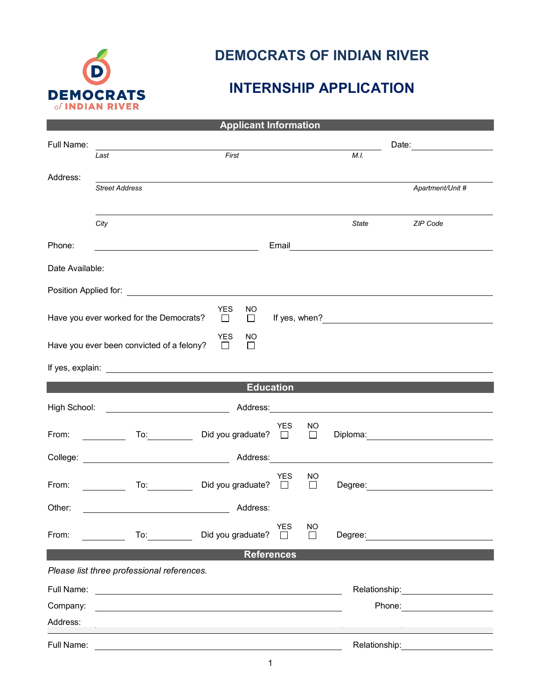

## **DEMOCRATS OF INDIAN RIVER**

## **INTERNSHIP APPLICATION**

| <b>Applicant Information</b>                                                                                                                                                                                                                                                                                              |                                                                                                                                                                                      |                                                                                                                                                                                                                                |            |                    |                                                                                                                        |                                     |  |  |  |
|---------------------------------------------------------------------------------------------------------------------------------------------------------------------------------------------------------------------------------------------------------------------------------------------------------------------------|--------------------------------------------------------------------------------------------------------------------------------------------------------------------------------------|--------------------------------------------------------------------------------------------------------------------------------------------------------------------------------------------------------------------------------|------------|--------------------|------------------------------------------------------------------------------------------------------------------------|-------------------------------------|--|--|--|
| Full Name:                                                                                                                                                                                                                                                                                                                |                                                                                                                                                                                      |                                                                                                                                                                                                                                |            |                    |                                                                                                                        | Date: __________________            |  |  |  |
|                                                                                                                                                                                                                                                                                                                           | First<br>Last                                                                                                                                                                        |                                                                                                                                                                                                                                |            | M.L                |                                                                                                                        |                                     |  |  |  |
| Address:                                                                                                                                                                                                                                                                                                                  |                                                                                                                                                                                      |                                                                                                                                                                                                                                |            |                    |                                                                                                                        |                                     |  |  |  |
|                                                                                                                                                                                                                                                                                                                           | <b>Street Address</b>                                                                                                                                                                |                                                                                                                                                                                                                                |            |                    |                                                                                                                        | Apartment/Unit #                    |  |  |  |
|                                                                                                                                                                                                                                                                                                                           |                                                                                                                                                                                      |                                                                                                                                                                                                                                |            |                    |                                                                                                                        |                                     |  |  |  |
|                                                                                                                                                                                                                                                                                                                           | City                                                                                                                                                                                 |                                                                                                                                                                                                                                |            |                    | State                                                                                                                  | ZIP Code                            |  |  |  |
| Phone:                                                                                                                                                                                                                                                                                                                    |                                                                                                                                                                                      |                                                                                                                                                                                                                                | Email      |                    | <u> 1989 - Johann Stoff, deutscher Stoffen und der Stoffen und der Stoffen und der Stoffen und der Stoffen und der</u> |                                     |  |  |  |
| Date Available:                                                                                                                                                                                                                                                                                                           |                                                                                                                                                                                      |                                                                                                                                                                                                                                |            |                    |                                                                                                                        |                                     |  |  |  |
|                                                                                                                                                                                                                                                                                                                           |                                                                                                                                                                                      |                                                                                                                                                                                                                                |            |                    |                                                                                                                        |                                     |  |  |  |
| <b>YES</b><br>NO.<br>Have you ever worked for the Democrats?<br>If yes, when?<br><u>Letting</u> the state of the state of the state of the state of the state of the state of the state of the state of the state of the state of the state of the state of the state of the state of the state of th<br>$\Box$<br>$\Box$ |                                                                                                                                                                                      |                                                                                                                                                                                                                                |            |                    |                                                                                                                        |                                     |  |  |  |
| <b>YES</b><br>NO.<br>Have you ever been convicted of a felony?<br>П<br>$\perp$                                                                                                                                                                                                                                            |                                                                                                                                                                                      |                                                                                                                                                                                                                                |            |                    |                                                                                                                        |                                     |  |  |  |
| If yes, explain: <u>_______________________________</u>                                                                                                                                                                                                                                                                   |                                                                                                                                                                                      |                                                                                                                                                                                                                                |            |                    |                                                                                                                        |                                     |  |  |  |
| <b>Education</b>                                                                                                                                                                                                                                                                                                          |                                                                                                                                                                                      |                                                                                                                                                                                                                                |            |                    |                                                                                                                        |                                     |  |  |  |
| High School:                                                                                                                                                                                                                                                                                                              |                                                                                                                                                                                      | Address: Andreas and the American State of the American State of the American State of the American State of the American State of the American State of the American State of the American State of the American State of the |            |                    |                                                                                                                        |                                     |  |  |  |
| From:                                                                                                                                                                                                                                                                                                                     | <u> 1999 - Jan Jawa</u>                                                                                                                                                              | Did you graduate? $\Box$                                                                                                                                                                                                       | YES        | NO<br>$\Box$       |                                                                                                                        |                                     |  |  |  |
|                                                                                                                                                                                                                                                                                                                           |                                                                                                                                                                                      |                                                                                                                                                                                                                                |            |                    | <u> 1980 - John Stein, amerikansk politiker (* 1900)</u>                                                               |                                     |  |  |  |
| From:                                                                                                                                                                                                                                                                                                                     | To: and the state of the state of the state of the state of the state of the state of the state of the state o                                                                       | Did you graduate? $\Box$                                                                                                                                                                                                       | YES        | NO<br>П            |                                                                                                                        |                                     |  |  |  |
| Other:                                                                                                                                                                                                                                                                                                                    |                                                                                                                                                                                      | Address:                                                                                                                                                                                                                       |            |                    |                                                                                                                        |                                     |  |  |  |
| From:                                                                                                                                                                                                                                                                                                                     | To: and the state of the state of the state of the state of the state of the state of the state of the state o                                                                       | Did you graduate?                                                                                                                                                                                                              | <b>YES</b> | NO<br>$\mathsf{L}$ |                                                                                                                        | Degree: <u>____________________</u> |  |  |  |
|                                                                                                                                                                                                                                                                                                                           |                                                                                                                                                                                      |                                                                                                                                                                                                                                |            |                    |                                                                                                                        |                                     |  |  |  |
| <b>References</b><br>Please list three professional references.                                                                                                                                                                                                                                                           |                                                                                                                                                                                      |                                                                                                                                                                                                                                |            |                    |                                                                                                                        |                                     |  |  |  |
| Full Name:                                                                                                                                                                                                                                                                                                                |                                                                                                                                                                                      |                                                                                                                                                                                                                                |            |                    |                                                                                                                        | Relationship: _____________________ |  |  |  |
| Company:                                                                                                                                                                                                                                                                                                                  | <u> 1989 - Johann Harry Harry Harry Harry Harry Harry Harry Harry Harry Harry Harry Harry Harry Harry Harry Harry</u><br><u> 1999 - Johann Stoff, amerikansk politiker (d. 1989)</u> |                                                                                                                                                                                                                                |            |                    |                                                                                                                        | Phone: __________________           |  |  |  |
| Address:                                                                                                                                                                                                                                                                                                                  |                                                                                                                                                                                      |                                                                                                                                                                                                                                |            |                    |                                                                                                                        |                                     |  |  |  |
| Full Name:                                                                                                                                                                                                                                                                                                                |                                                                                                                                                                                      |                                                                                                                                                                                                                                |            |                    | Relationship:                                                                                                          |                                     |  |  |  |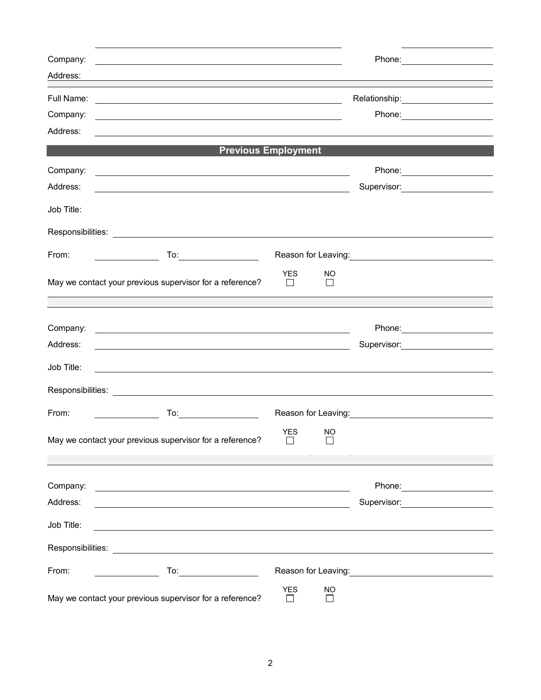| Company:   | <u> 1980 - Johann Barn, fransk politik (f. 1980)</u>                                                                                                                                                                                           |                                                                                                                                                                                                                                      |                           |                                                                                                                        |
|------------|------------------------------------------------------------------------------------------------------------------------------------------------------------------------------------------------------------------------------------------------|--------------------------------------------------------------------------------------------------------------------------------------------------------------------------------------------------------------------------------------|---------------------------|------------------------------------------------------------------------------------------------------------------------|
| Address:   |                                                                                                                                                                                                                                                |                                                                                                                                                                                                                                      |                           |                                                                                                                        |
|            |                                                                                                                                                                                                                                                |                                                                                                                                                                                                                                      |                           | Relationship: 2000                                                                                                     |
| Company:   | <u> 1989 - Johann Stoff, amerikansk politiker (d. 1989)</u>                                                                                                                                                                                    |                                                                                                                                                                                                                                      |                           |                                                                                                                        |
| Address:   |                                                                                                                                                                                                                                                |                                                                                                                                                                                                                                      |                           |                                                                                                                        |
|            | <b>Previous Employment</b>                                                                                                                                                                                                                     |                                                                                                                                                                                                                                      |                           |                                                                                                                        |
| Company:   |                                                                                                                                                                                                                                                |                                                                                                                                                                                                                                      |                           | Phone: _______________________                                                                                         |
| Address:   | <u> 1989 - Johann Barn, amerikan besteman besteman besteman besteman besteman besteman besteman besteman besteman</u><br><u> 1980 - Johann Barn, mars ann an t-Amhain Aonaich an t-Aonaich an t-Aonaich an t-Aonaich an t-Aonaich an t-Aon</u> |                                                                                                                                                                                                                                      | Supervisor: 2000          |                                                                                                                        |
|            |                                                                                                                                                                                                                                                |                                                                                                                                                                                                                                      |                           |                                                                                                                        |
| Job Title: |                                                                                                                                                                                                                                                |                                                                                                                                                                                                                                      |                           |                                                                                                                        |
|            |                                                                                                                                                                                                                                                |                                                                                                                                                                                                                                      |                           |                                                                                                                        |
| From:      | To:____________________                                                                                                                                                                                                                        |                                                                                                                                                                                                                                      |                           | Reason for Leaving: Network of the Reason for Leaving:                                                                 |
|            |                                                                                                                                                                                                                                                | <b>YES</b>                                                                                                                                                                                                                           | NO                        |                                                                                                                        |
|            | May we contact your previous supervisor for a reference?                                                                                                                                                                                       | $\perp$                                                                                                                                                                                                                              | $\mathsf{L}$              |                                                                                                                        |
|            |                                                                                                                                                                                                                                                |                                                                                                                                                                                                                                      |                           |                                                                                                                        |
| Company:   | <u> 1980 - Jan Samuel Barbara, margaret eta idazlearia (h. 1980).</u>                                                                                                                                                                          |                                                                                                                                                                                                                                      |                           |                                                                                                                        |
| Address:   | <u> 1980 - Johann Barn, fransk politik (f. 1980)</u>                                                                                                                                                                                           |                                                                                                                                                                                                                                      |                           | Supervisor: 2000                                                                                                       |
| Job Title: |                                                                                                                                                                                                                                                |                                                                                                                                                                                                                                      |                           |                                                                                                                        |
|            |                                                                                                                                                                                                                                                |                                                                                                                                                                                                                                      |                           |                                                                                                                        |
|            |                                                                                                                                                                                                                                                |                                                                                                                                                                                                                                      |                           |                                                                                                                        |
| From:      |                                                                                                                                                                                                                                                | Reason for Leaving: <u>contained and the set of the set of the set of the set of the set of the set of the set of the set of the set of the set of the set of the set of the set of the set of the set of the set of the set of </u> |                           |                                                                                                                        |
|            |                                                                                                                                                                                                                                                | <b>YES</b>                                                                                                                                                                                                                           | NO                        |                                                                                                                        |
|            | May we contact your previous supervisor for a reference?                                                                                                                                                                                       |                                                                                                                                                                                                                                      |                           |                                                                                                                        |
|            |                                                                                                                                                                                                                                                |                                                                                                                                                                                                                                      |                           |                                                                                                                        |
| Company:   | <u> 1989 - Johann Harry Harry Harry Harry Harry Harry Harry Harry Harry Harry Harry Harry Harry Harry Harry Harry</u>                                                                                                                          |                                                                                                                                                                                                                                      |                           |                                                                                                                        |
| Address:   | <u> 1989 - Johann Stoff, amerikansk politiker (* 1908)</u>                                                                                                                                                                                     |                                                                                                                                                                                                                                      |                           | Supervisor: <b>Supervisor:</b>                                                                                         |
| Job Title: | <u> 1980 - Andrea Stadt Britain, fransk politik (d. 1980)</u>                                                                                                                                                                                  |                                                                                                                                                                                                                                      |                           |                                                                                                                        |
|            |                                                                                                                                                                                                                                                |                                                                                                                                                                                                                                      |                           |                                                                                                                        |
|            | Responsibilities: Les and the contract of the contract of the contract of the contract of the contract of the contract of the contract of the contract of the contract of the contract of the contract of the contract of the                  |                                                                                                                                                                                                                                      |                           |                                                                                                                        |
| From:      | $\overline{\phantom{a}}$ . The contract of $\overline{\phantom{a}}$                                                                                                                                                                            |                                                                                                                                                                                                                                      |                           | Reason for Leaving: <u>contained a series of the series of the series of the series of the series of the series of</u> |
|            | May we contact your previous supervisor for a reference?                                                                                                                                                                                       | <b>YES</b><br>$\perp$                                                                                                                                                                                                                | <b>NO</b><br>$\mathbf{I}$ |                                                                                                                        |
|            |                                                                                                                                                                                                                                                |                                                                                                                                                                                                                                      |                           |                                                                                                                        |